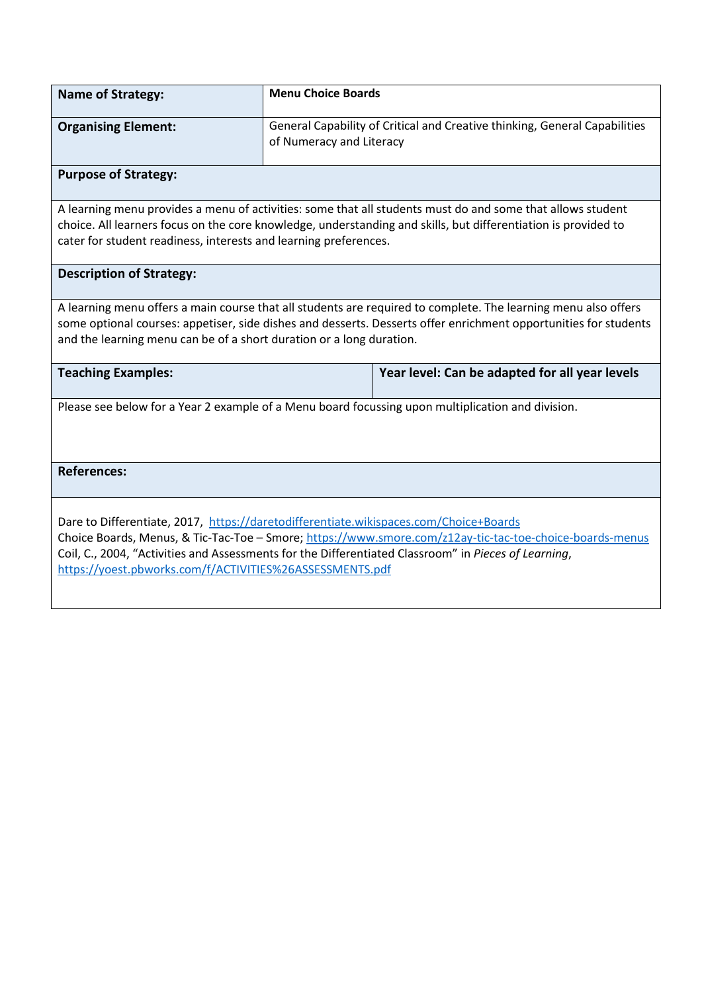| <b>Name of Strategy:</b>                                                                                                                                                                                                                                                                                                                                              | <b>Menu Choice Boards</b>                                                                              |  |  |
|-----------------------------------------------------------------------------------------------------------------------------------------------------------------------------------------------------------------------------------------------------------------------------------------------------------------------------------------------------------------------|--------------------------------------------------------------------------------------------------------|--|--|
| <b>Organising Element:</b>                                                                                                                                                                                                                                                                                                                                            | General Capability of Critical and Creative thinking, General Capabilities<br>of Numeracy and Literacy |  |  |
| <b>Purpose of Strategy:</b>                                                                                                                                                                                                                                                                                                                                           |                                                                                                        |  |  |
| A learning menu provides a menu of activities: some that all students must do and some that allows student<br>choice. All learners focus on the core knowledge, understanding and skills, but differentiation is provided to<br>cater for student readiness, interests and learning preferences.                                                                      |                                                                                                        |  |  |
| <b>Description of Strategy:</b>                                                                                                                                                                                                                                                                                                                                       |                                                                                                        |  |  |
| A learning menu offers a main course that all students are required to complete. The learning menu also offers<br>some optional courses: appetiser, side dishes and desserts. Desserts offer enrichment opportunities for students<br>and the learning menu can be of a short duration or a long duration.                                                            |                                                                                                        |  |  |
| <b>Teaching Examples:</b>                                                                                                                                                                                                                                                                                                                                             | Year level: Can be adapted for all year levels                                                         |  |  |
| Please see below for a Year 2 example of a Menu board focussing upon multiplication and division.                                                                                                                                                                                                                                                                     |                                                                                                        |  |  |
| <b>References:</b>                                                                                                                                                                                                                                                                                                                                                    |                                                                                                        |  |  |
| Dare to Differentiate, 2017, https://daretodifferentiate.wikispaces.com/Choice+Boards<br>Choice Boards, Menus, & Tic-Tac-Toe - Smore; https://www.smore.com/z12ay-tic-tac-toe-choice-boards-menus<br>Coil, C., 2004, "Activities and Assessments for the Differentiated Classroom" in Pieces of Learning,<br>https://yoest.pbworks.com/f/ACTIVITIES%26ASSESSMENTS.pdf |                                                                                                        |  |  |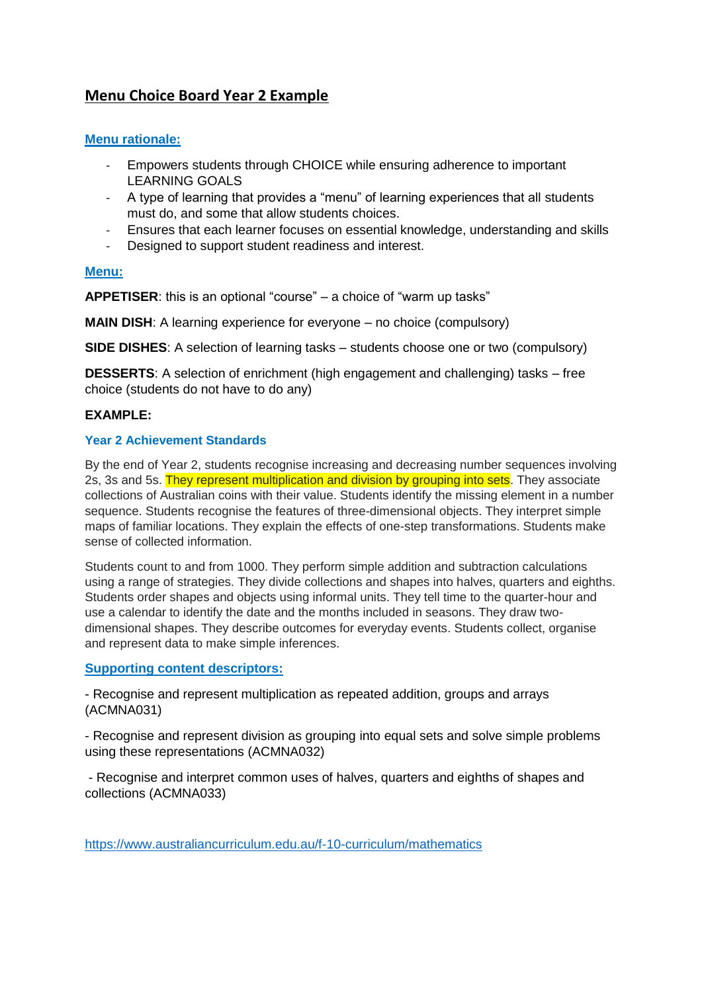# **Menu Choice Board Year 2 Example**

## **Menu rationale:**

- Empowers students through CHOICE while ensuring adherence to important LEARNING GOALS
- A type of learning that provides a "menu" of learning experiences that all students must do, and some that allow students choices.
- Ensures that each learner focuses on essential knowledge, understanding and skills
- Designed to support student readiness and interest.

### **Menu:**

**APPETISER**: this is an optional "course" – a choice of "warm up tasks"

**MAIN DISH**: A learning experience for everyone – no choice (compulsory)

**SIDE DISHES**: A selection of learning tasks – students choose one or two (compulsory)

**DESSERTS**: A selection of enrichment (high engagement and challenging) tasks – free choice (students do not have to do any)

### **EXAMPLE:**

#### **Year 2 Achievement Standards**

By the end of Year 2, students recognise increasing and decreasing number sequences involving 2s, 3s and 5s. They represent multiplication and division by grouping into sets. They associate collections of Australian coins with their value. Students identify the missing element in a number sequence. Students recognise the features of three-dimensional objects. They interpret simple maps of familiar locations. They explain the effects of one-step transformations. Students make sense of collected information.

Students count to and from 1000. They perform simple addition and subtraction calculations using a range of strategies. They divide collections and shapes into halves, quarters and eighths. Students order shapes and objects using informal units. They tell time to the quarter-hour and use a calendar to identify the date and the months included in seasons. They draw twodimensional shapes. They describe outcomes for everyday events. Students collect, organise and represent data to make simple inferences.

### **Supporting content descriptors:**

- Recognise and represent multiplication as repeated addition, groups and arrays (ACMNA031)

- Recognise and represent division as grouping into equal sets and solve simple problems using these representations (ACMNA032)

- Recognise and interpret common uses of halves, quarters and eighths of shapes and collections (ACMNA033)

<https://www.australiancurriculum.edu.au/f-10-curriculum/mathematics>